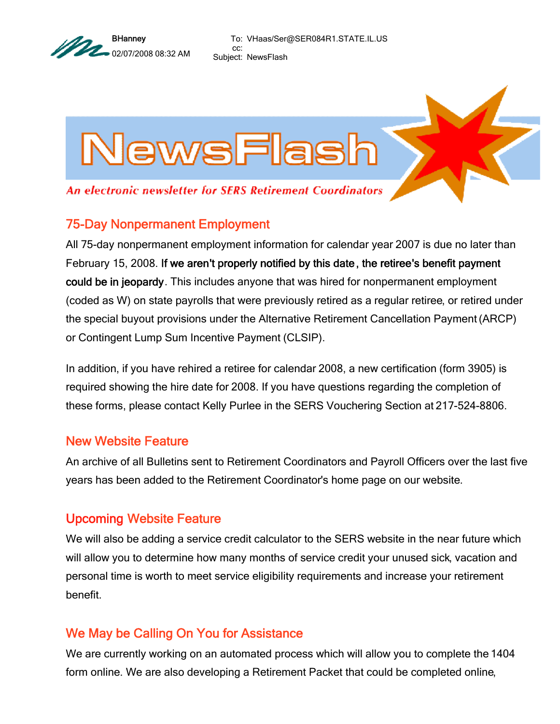

To: VHaas/Ser@SER084R1.STATE.IL.US cc: Subject: NewsFlash



An electronic newsletter for SERS Retirement Coordinators

## 75-Day Nonpermanent Employment

All 75-day nonpermanent employment information for calendar year 2007 is due no later than February 15, 2008. If we aren't properly notified by this date, the retiree's benefit payment could be in jeopardy. This includes anyone that was hired for nonpermanent employment (coded as W) on state payrolls that were previously retired as a regular retiree, or retired under the special buyout provisions under the Alternative Retirement Cancellation Payment (ARCP) or Contingent Lump Sum Incentive Payment (CLSIP).

In addition, if you have rehired a retiree for calendar 2008, a new certification (form 3905) is required showing the hire date for 2008. If you have questions regarding the completion of these forms, please contact Kelly Purlee in the SERS Vouchering Section at 217-524-8806.

## New Website Feature

An archive of all Bulletins sent to Retirement Coordinators and Payroll Officers over the last five years has been added to the Retirement Coordinator's home page on our website.

## Upcoming Website Feature

We will also be adding a service credit calculator to the SERS website in the near future which will allow you to determine how many months of service credit your unused sick, vacation and personal time is worth to meet service eligibility requirements and increase your retirement benefit.

## We May be Calling On You for Assistance

We are currently working on an automated process which will allow you to complete the 1404 form online. We are also developing a Retirement Packet that could be completed online,